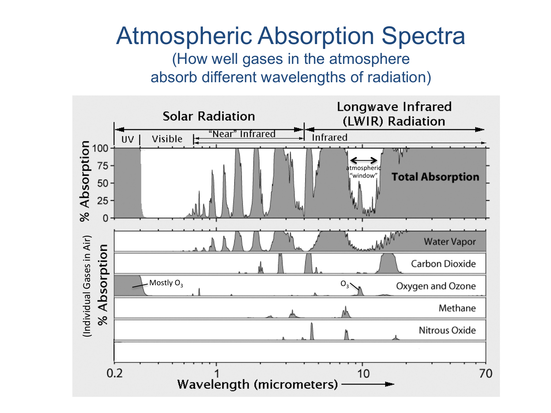## Atmospheric Absorption Spectra

(How well gases in the atmosphere absorb different wavelengths of radiation)

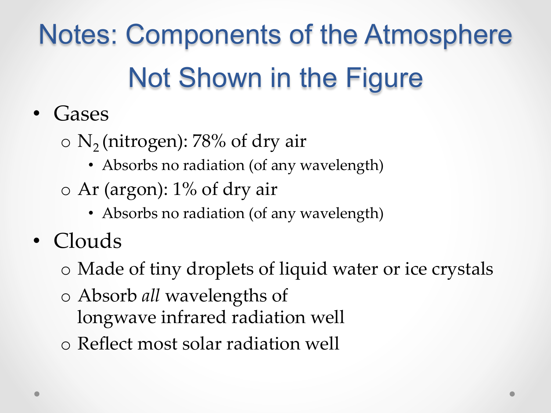Notes: Components of the Atmosphere Not Shown in the Figure

- Gases
	- $\circ$  N<sub>2</sub> (nitrogen): 78% of dry air
		- Absorbs no radiation (of any wavelength)
	- o Ar (argon): 1% of dry air
		- Absorbs no radiation (of any wavelength)
- Clouds
	- o Made of tiny droplets of liquid water or ice crystals
	- o Absorb *all* wavelengths of longwave infrared radiation well
	- o Reflect most solar radiation well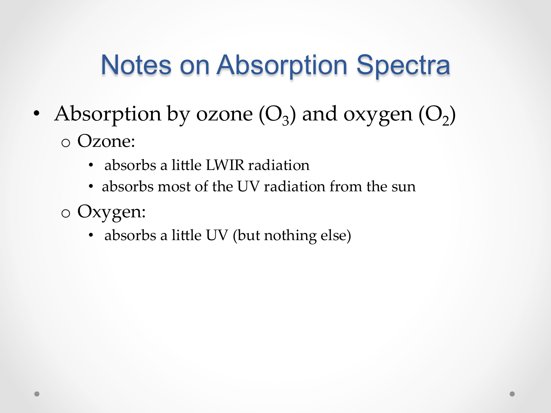## Notes on Absorption Spectra

- Absorption by ozone  $(O_3)$  and oxygen  $(O_2)$ o Ozone:
	- absorbs a little LWIR radiation
	- absorbs most of the UV radiation from the sun
	- o Oxygen:
		- absorbs a little UV (but nothing else)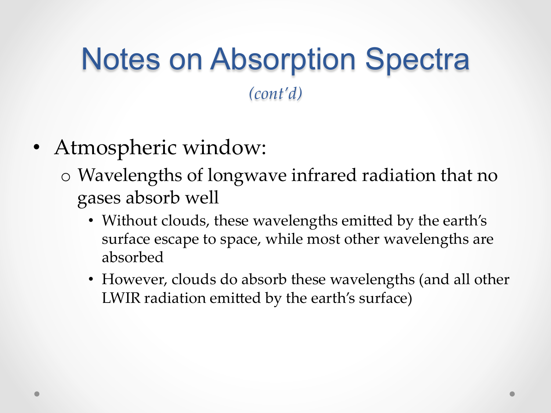## Notes on Absorption Spectra *(cont'd)*

- Atmospheric window:
	- o Wavelengths of longwave infrared radiation that no gases absorb well
		- Without clouds, these wavelengths emitted by the earth's surface escape to space, while most other wavelengths are absorbed
		- However, clouds do absorb these wavelengths (and all other LWIR radiation emitted by the earth's surface)